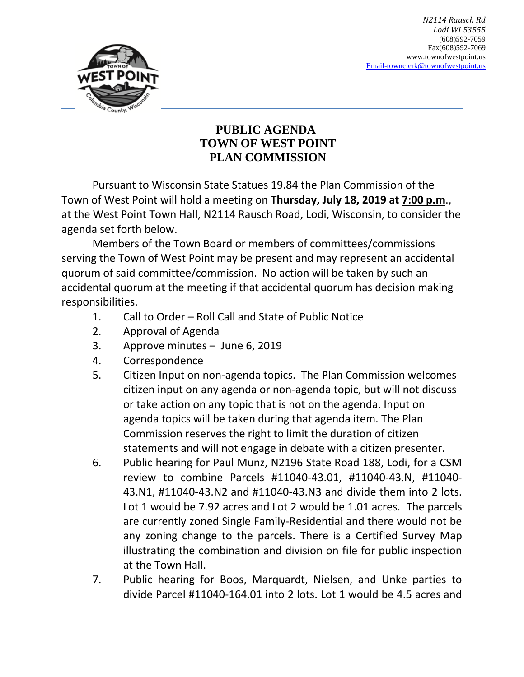

## **PUBLIC AGENDA TOWN OF WEST POINT PLAN COMMISSION**

Pursuant to Wisconsin State Statues 19.84 the Plan Commission of the Town of West Point will hold a meeting on **Thursday, July 18, 2019 at 7:00 p.m**., at the West Point Town Hall, N2114 Rausch Road, Lodi, Wisconsin, to consider the agenda set forth below.

Members of the Town Board or members of committees/commissions serving the Town of West Point may be present and may represent an accidental quorum of said committee/commission. No action will be taken by such an accidental quorum at the meeting if that accidental quorum has decision making responsibilities.

- 1. Call to Order Roll Call and State of Public Notice
- 2. Approval of Agenda
- 3. Approve minutes June 6, 2019
- 4. Correspondence
- 5. Citizen Input on non-agenda topics. The Plan Commission welcomes citizen input on any agenda or non-agenda topic, but will not discuss or take action on any topic that is not on the agenda. Input on agenda topics will be taken during that agenda item. The Plan Commission reserves the right to limit the duration of citizen statements and will not engage in debate with a citizen presenter.
- 6. Public hearing for Paul Munz, N2196 State Road 188, Lodi, for a CSM review to combine Parcels #11040-43.01, #11040-43.N, #11040- 43.N1, #11040-43.N2 and #11040-43.N3 and divide them into 2 lots. Lot 1 would be 7.92 acres and Lot 2 would be 1.01 acres. The parcels are currently zoned Single Family-Residential and there would not be any zoning change to the parcels. There is a Certified Survey Map illustrating the combination and division on file for public inspection at the Town Hall.
- 7. Public hearing for Boos, Marquardt, Nielsen, and Unke parties to divide Parcel #11040-164.01 into 2 lots. Lot 1 would be 4.5 acres and